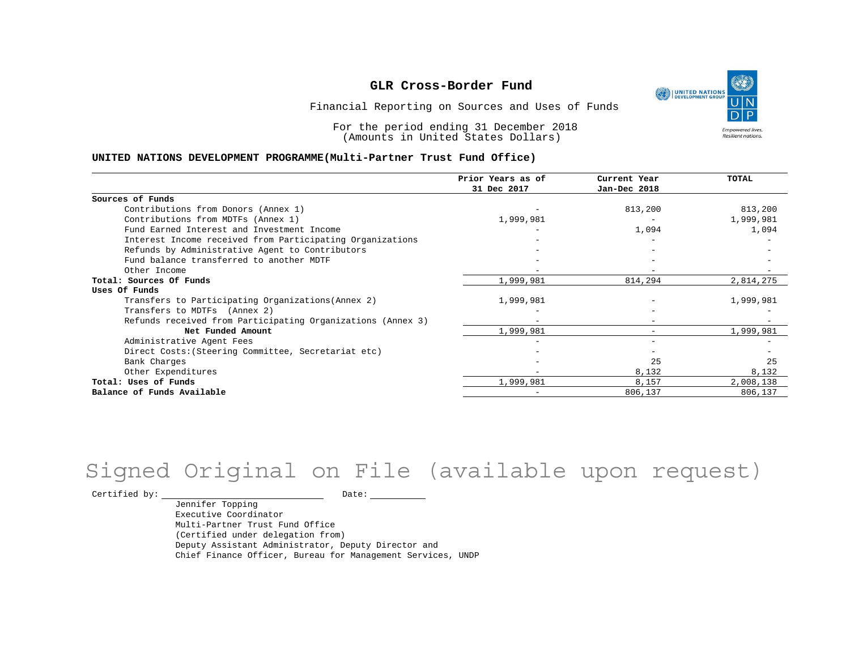UNITED NATIONS **Empowered lives** Resilient nations.

Financial Reporting on Sources and Uses of Funds

For the period ending 31 December 2018 (Amounts in United States Dollars)

#### **UNITED NATIONS DEVELOPMENT PROGRAMME(Multi-Partner Trust Fund Office)**

|                                                             | Prior Years as of<br>31 Dec 2017 | Current Year<br>Jan-Dec 2018 | TOTAL     |
|-------------------------------------------------------------|----------------------------------|------------------------------|-----------|
|                                                             |                                  |                              |           |
| Sources of Funds                                            |                                  |                              |           |
| Contributions from Donors (Annex 1)                         |                                  | 813,200                      | 813,200   |
| Contributions from MDTFs (Annex 1)                          | 1,999,981                        |                              | 1,999,981 |
| Fund Earned Interest and Investment Income                  |                                  | 1,094                        | 1,094     |
| Interest Income received from Participating Organizations   |                                  |                              |           |
| Refunds by Administrative Agent to Contributors             |                                  |                              |           |
| Fund balance transferred to another MDTF                    |                                  |                              |           |
| Other Income                                                |                                  |                              |           |
| Total: Sources Of Funds                                     | 1,999,981                        | 814,294                      | 2,814,275 |
| Uses Of Funds                                               |                                  |                              |           |
| Transfers to Participating Organizations (Annex 2)          | 1,999,981                        |                              | 1,999,981 |
| Transfers to MDTFs (Annex 2)                                |                                  |                              |           |
| Refunds received from Participating Organizations (Annex 3) | $-$                              |                              |           |
| Net Funded Amount                                           | 1,999,981                        |                              | 1,999,981 |
| Administrative Agent Fees                                   |                                  |                              |           |
| Direct Costs: (Steering Committee, Secretariat etc)         |                                  |                              |           |
| Bank Charges                                                |                                  | 25                           | 25        |
| Other Expenditures                                          |                                  | 8,132                        | 8,132     |
| Total: Uses of Funds                                        | 1,999,981                        | 8,157                        | 2,008,138 |
| Balance of Funds Available                                  |                                  | 806,137                      | 806,137   |

## Signed Original on File (available upon request)

 $\begin{tabular}{cc} \multicolumn{2}{c}{{\texttt{Certified by:}}}} \quad \quad \texttt{Date:} \end{tabular}$ 

Jennifer Topping Executive Coordinator Multi-Partner Trust Fund Office (Certified under delegation from) Deputy Assistant Administrator, Deputy Director and Chief Finance Officer, Bureau for Management Services, UNDP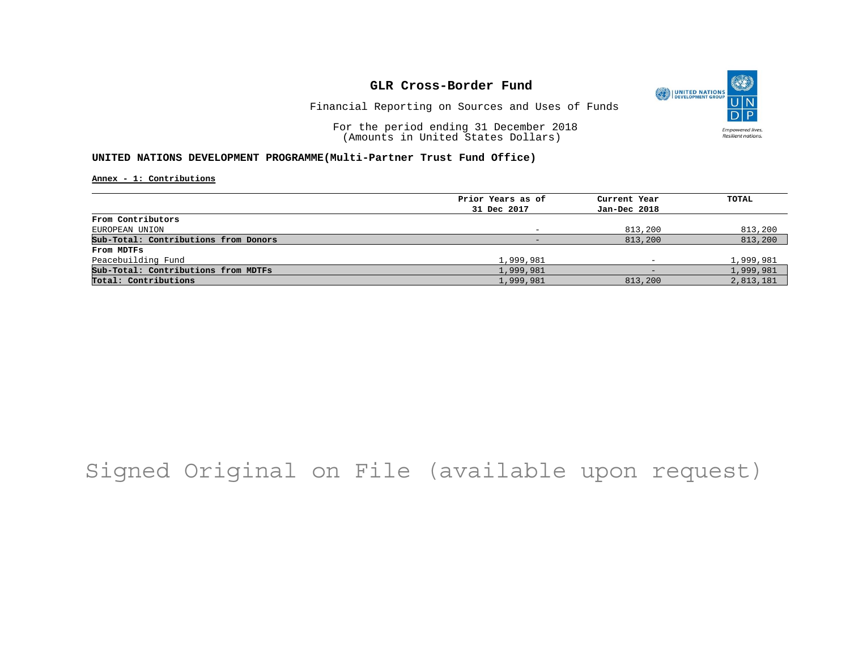

Financial Reporting on Sources and Uses of Funds

For the period ending 31 December 2018 (Amounts in United States Dollars)

#### **UNITED NATIONS DEVELOPMENT PROGRAMME(Multi-Partner Trust Fund Office)**

**Annex - 1: Contributions**

| Prior Years as of | Current Year             | TOTAL     |
|-------------------|--------------------------|-----------|
| 31 Dec 2017       | Jan-Dec 2018             |           |
|                   |                          |           |
|                   | 813,200                  | 813,200   |
|                   | 813,200                  | 813,200   |
|                   |                          |           |
| 1,999,981         | $\overline{\phantom{a}}$ | 1,999,981 |
| 1,999,981         | -                        | 1,999,981 |
| 1,999,981         | 813,200                  | 2,813,181 |
|                   |                          |           |

## Signed Original on File (available upon request)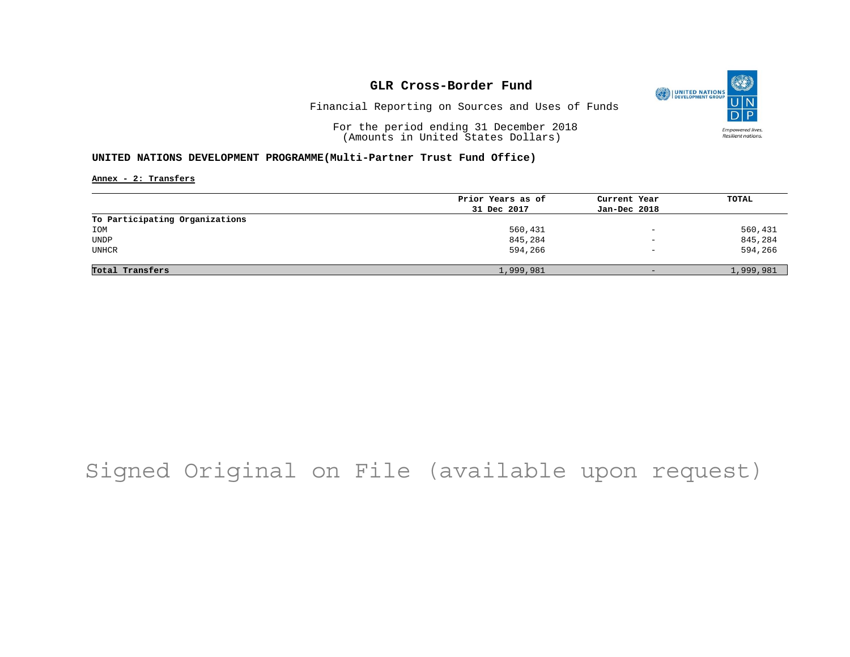

Financial Reporting on Sources and Uses of Funds

For the period ending 31 December 2018 (Amounts in United States Dollars)

#### **UNITED NATIONS DEVELOPMENT PROGRAMME(Multi-Partner Trust Fund Office)**

**Annex - 2: Transfers**

|                                | Prior Years as of | Current Year             | TOTAL     |
|--------------------------------|-------------------|--------------------------|-----------|
|                                | 31 Dec 2017       | Jan-Dec 2018             |           |
| To Participating Organizations |                   |                          |           |
| IOM                            | 560,431           | $\equiv$                 | 560,431   |
| UNDP                           | 845,284           | $\overline{\phantom{0}}$ | 845,284   |
| <b>UNHCR</b>                   | 594,266           | $\overline{\phantom{0}}$ | 594,266   |
| Total Transfers                | 1,999,981         | $-$                      | 1,999,981 |
|                                |                   |                          |           |

## Signed Original on File (available upon request)